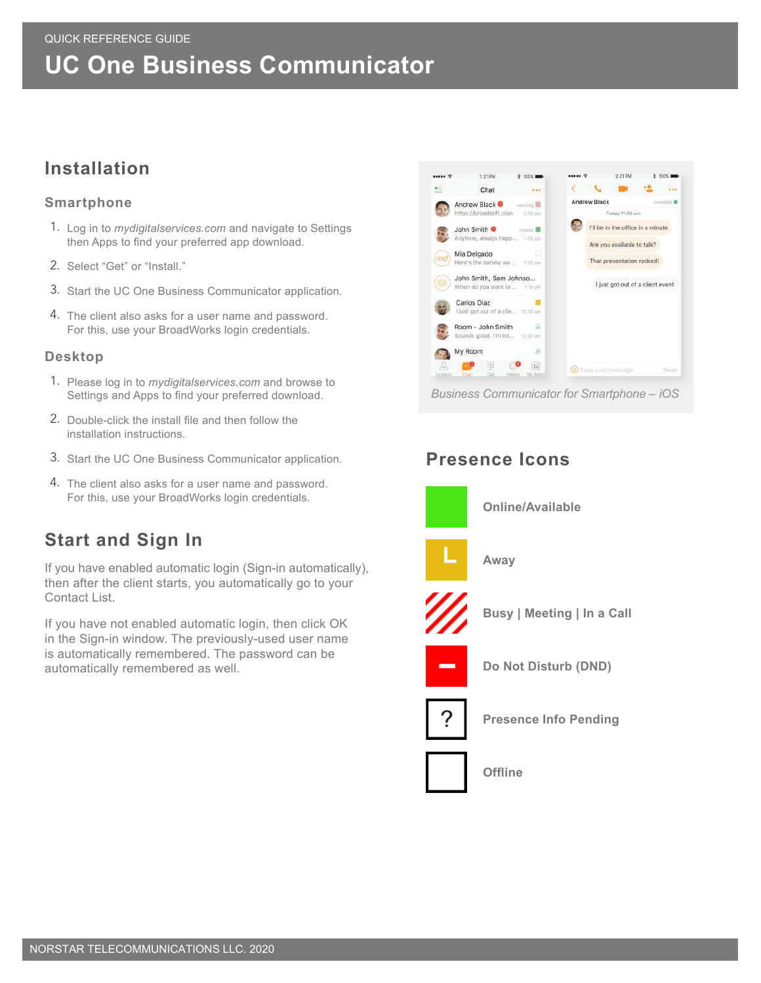## QUICK REFERENCE GUIDE **UC One Business Communicator**

## **Installation**

### **Smartphone**

- 1. Log in to *mydigitalservices.com* and navigate to Settings then Apps to find your preferred app download.
- 2. Select "Get" or "Install."
- 3. Start the UC One Business Communicator application.
- 4. The client also asks for a user name and password. For this, use your BroadWorks login credentials.

#### **Desktop**

- 1. Please log in to *mydigitalservices.com* and browse to Settings and Apps to find your preferred download.
- 2. Double-click the install file and then follow the installation instructions.
- 3. Start the UC One Business Communicator application.
- 4. The client also asks for a user name and password. For this, use your BroadWorks login credentials.

## **Start and Sign In**

If you have enabled automatic login (Sign-in automatically), then after the client starts, you automatically go to your Contact List.

If you have not enabled automatic login, then click OK in the Sign-in window. The previously-used user name is automatically remembered. The password can be automatically remembered as well.



## **Presence Icons**



### **Online/Available**



**Away**



**Busy | Meeting | In a Call**



**Do Not Disturb (DND)**



**Presence Info Pending**



**Offline**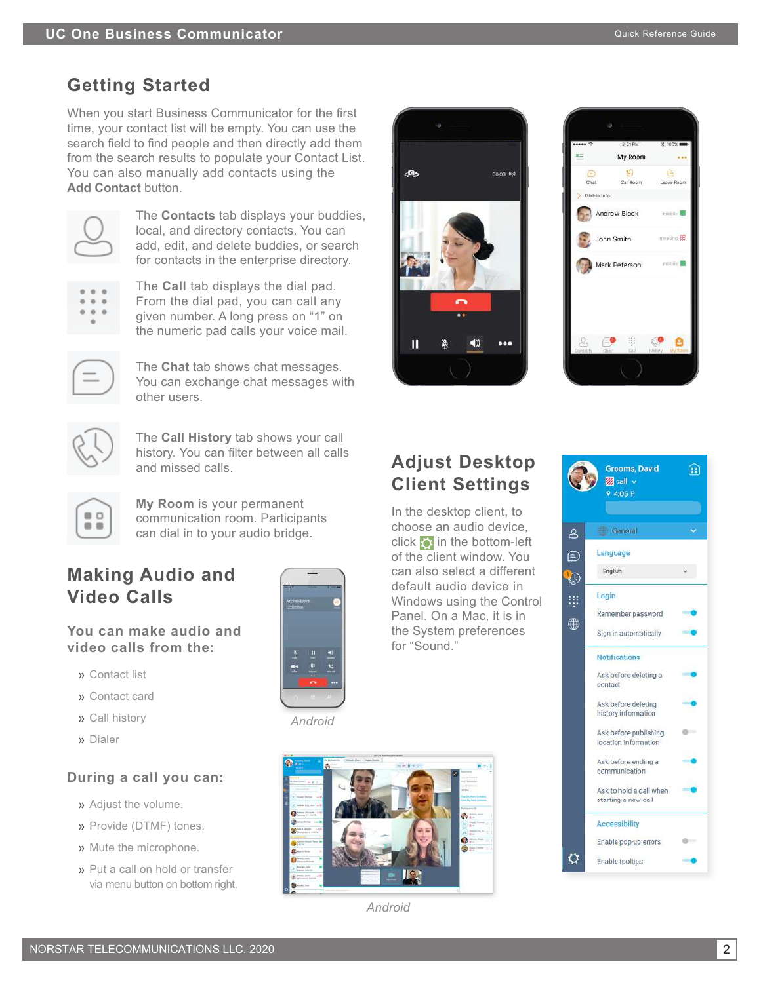# **Getting Started**

When you start Business Communicator for the first time, your contact list will be empty. You can use the search field to find people and then directly add them from the search results to populate your Contact List. You can also manually add contacts using the **Add Contact** button.



The **Contacts** tab displays your buddies, local, and directory contacts. You can add, edit, and delete buddies, or search for contacts in the enterprise directory.

From the dial pad, you can call any given number. A long press on "1" on the numeric pad calls your voice mail.

The **Call** tab displays the dial pad.



The **Chat** tab shows chat messages. You can exchange chat messages with other users.



The **Call History** tab shows your call history. You can filter between all calls and missed calls.

 $\qquad \qquad \Box$  $\blacksquare$ 

**My Room** is your permanent communication room. Participants can dial in to your audio bridge.

## **Making Audio and Video Calls**

**You can make audio and video calls from the:** 

- » Contact list
- » Contact card
- » Call history
- » Dialer

### **During a call you can:**

- » Adjust the volume.
- » Provide (DTMF) tones.
- » Mute the microphone.
- » Put a call on hold or transfer via menu button on bottom right.



#### *Android*



*Android*





## **Adjust Desktop Client Settings**

In the desktop client, to choose an audio device, click  $\ddot{\bullet}$  in the bottom-left of the client window. You can also select a different default audio device in Windows using the Control Panel. On a Mac, it is in the System preferences for "Sound."